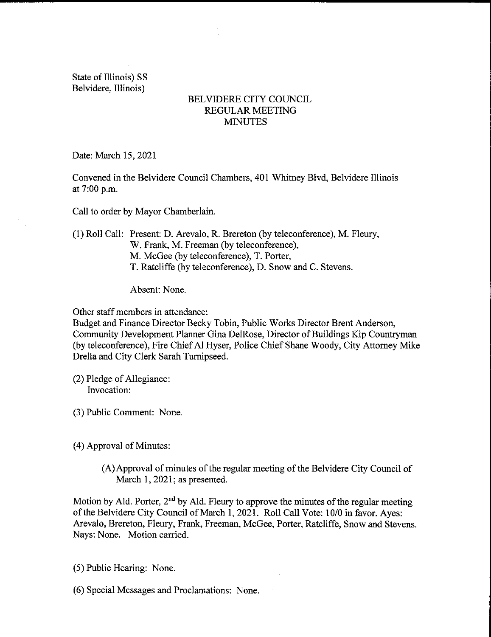State of Illinois) SS Belvidere, Illinois)

## BELVIDERE CITY COUNCIL REGULAR MEETING **MINUTES**

Date: March 15, 2021

Convened in the Belvidere Council Chambers, 401 Whitney Blvd, Belvidere Illinois at 7:00 p.m.

Call to order by Mayor Chamberlain.

1) Roll Call: Present: D. Arevalo, R. Brereton ( by teleconference), M. Fleury, W. Frank, M. Freeman (by teleconference), M. McGee (by teleconference), T. Porter, T. Ratcliffe ( by teleconference), D. Snow and C. Stevens.

Absent: None.

Other staff members in attendance:

Budget and Finance Director Becky Tobin, Public Works Director Brent Anderson, Community Development Planner Gina DelRose, Director of Buildings Kip Countryman by teleconference), Fire Chief Al Hyser, Police Chief Shane Woody, City Attorney Mike Drella and City Clerk Sarah Tumipseed.

(2) Pledge of Allegiance: Invocation:

- 3) Public Comment: None.
- 4) Approval of Minutes:
	- A) Approval of minutes of the regular meeting of the Belvidere City Council of March 1, 2021; as presented.

Motion by Ald. Porter,  $2<sup>nd</sup>$  by Ald. Fleury to approve the minutes of the regular meeting of the Belvidere City Council of March 1, 2021. Roll Call Vote: 10/0 in favor. Ayes: Arevalo, Brereton, Fleury, Frank, Freeman, McGee, Porter, Ratcliffe, Snow and Stevens. Nays: None. Motion carried.

- 5) Public Hearing: None.
- 6) Special Messages and Proclamations: None.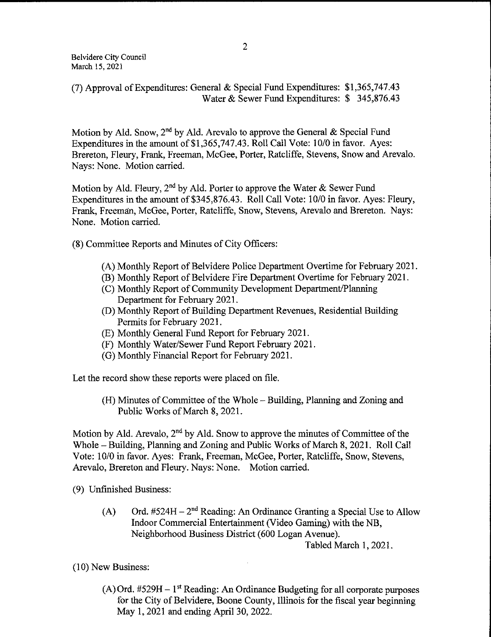7) Approval of Expenditures: General & Special Fund Expenditures: \$ 1, 365, 747. 43 Water & Sewer Fund Expenditures: \$ 345,876.43

Motion by Ald. Snow,  $2^{nd}$  by Ald. Arevalo to approve the General & Special Fund Expenditures in the amount of \$1,365,747.43. Roll Call Vote: 10/0 in favor. Ayes: Brereton, Fleury, Frank, Freeman, McGee, Porter, Ratcliffe, Stevens, Snow and Arevalo. Nays: None. Motion carried.

Motion by Ald. Fleury,  $2^{nd}$  by Ald. Porter to approve the Water & Sewer Fund Expenditures in the amount of \$345, 876.43. Roll Call Vote: 10/0 in favor. Ayes: Fleury, Frank, Freeman, McGee, Porter, Ratcliffe, Snow, Stevens, Arevalo and Brereton. Nays: None. Motion carried.

8) Committee Reports and Minutes of City Officers:

- A) Monthly Report of Belvidere Police Department Overtime for February 2021.
- B) Monthly Report of Belvidere Fire Department Overtime for February 2021.
- C) Monthly Report of Community Development Department/Planning Department for February 2021.
- D) Monthly Report of Building Department Revenues, Residential Building Permits for February 2021.
- E) Monthly General Fund Report for February 2021.
- F) Monthly Water/Sewer Fund Report February 2021.
- G) Monthly Financial Report for February 2021.

Let the record show these reports were placed on file.

H) Minutes of Committee of the Whole— Building, Planning and Zoning and Public Works of March 8, 2021,

Motion by Ald. Arevalo,  $2<sup>nd</sup>$  by Ald. Snow to approve the minutes of Committee of the Whole— Building, Planning and Zoning and Public Works of March 8, 2021. Roll Call Vote: 10/0 in favor. Ayes: Frank, Freeman, McGee, Porter, Ratcliffe, Snow, Stevens, Arevalo, Brereton and Fleury. Nays: None. Motion carried.

9) Unfinished Business:

(A) Ord.  $#524H - 2^{nd}$  Reading: An Ordinance Granting a Special Use to Allow Indoor Commercial Entertainment( Video Gaming) with the NB, Neighborhood Business District( 600 Logan Avenue).

Tabled March 1, 2021.

10) New Business:

 $(A)$  Ord. #529H – 1<sup>st</sup> Reading: An Ordinance Budgeting for all corporate purposes for the City of Belvidere, Boone County, Illinois for the fiscal year beginning May 1, 2021 and ending April 30, 2022.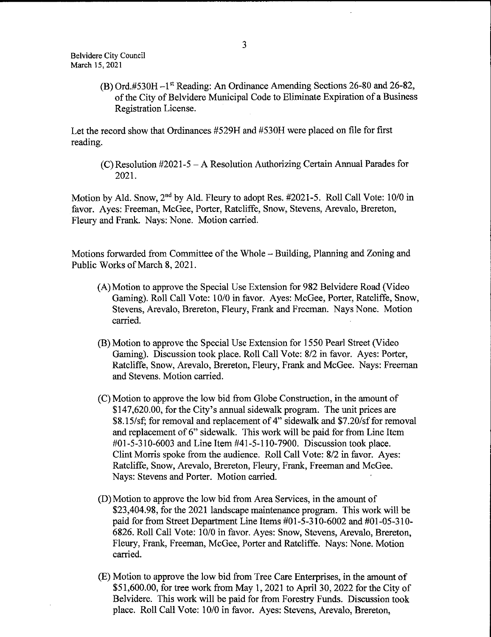Belvidere City Council March 15, 2021

> B) Ord.#530H—1st Reading: An Ordinance Amending Sections 26- 80 and 26- 82, ofthe City of Belvidere Municipal Code to Eliminate Expiration of <sup>a</sup> Business Registration License.

Let the record show that Ordinances # 529H and # 530H were placed on file for first reading.

 $(C)$  Resolution #2021-5 – A Resolution Authorizing Certain Annual Parades for 2021.

Motion by Ald. Snow,  $2<sup>nd</sup>$  by Ald. Fleury to adopt Res. #2021-5. Roll Call Vote: 10/0 in favor. Ayes: Freeman, McGee, Porter, Ratcliffe, Snow, Stevens, Arevalo, Brereton, Fleury and Frank. Nays: None. Motion carried.

Motions forwarded from Committee of the Whole— Building, Planning and Zoning and Public Works of March 8, 2021.

- A)Motion to approve the Special Use Extension for 982 Belvidere Road( Video Gaming). Roll Call Vote: 10/0 in favor. Ayes: McGee, Porter, Ratcliffe, Snow, Stevens, Arevalo, Brereton, Fleury, Frank and Freeman. Nays None. Motion carried.
- B) Motion to approve the Special Use Extension for 1550 Pearl Street( Video Gaming). Discussion took place. Roll Call Vote: 8/2 in favor. Ayes: Porter, Ratcliffe, Snow, Arevalo, Brereton, Fleury, Frank and McGee. Nays: Freeman and Stevens. Motion carried.
- C) Motion to approve the low bid from Globe Construction, in the amount of \$147,620.00, for the City's annual sidewalk program. The unit prices are \$8.15/sf; for removal and replacement of 4" sidewalk and \$7.20/sf for removal and replacement of 6" sidewalk. This work will be paid for from Line Item #01-5-310-6003 and Line Item #41-5-110-7900. Discussion took place. Clint Morris spoke from the audience. Roll Call Vote: 8/2 in favor. Ayes: Ratcliffe, Snow, Arevalo, Brereton, Fleury, Frank, Freeman and McGee. Nays: Stevens and Porter. Motion carried.
- D) Motion to approve the low bid from Area Services, in the amount of 23, 404. 98, for the 2021 landscape maintenance program. This work will be paid for from Street Department Line Items  $#01-5-310-6002$  and  $#01-05-310-$ 6826. Roll Call Vote: 10/0 in favor. Ayes: Snow, Stevens, Arevalo, Brereton, Fleury, Frank, Freeman, McGee, Porter and Ratcliffe. Nays: None. Motion carried.
- E) Motion to approve the low bid from Tree Care Enterprises, in the amount of 51, 600.00, for tree work from May 1, 2021 to April 30, 2022 for the City of Belvidere. This work will be paid for from Forestry Funds. Discussion took place. Roll Call Vote: 10/0 in favor. Ayes: Stevens, Arevalo, Brereton,